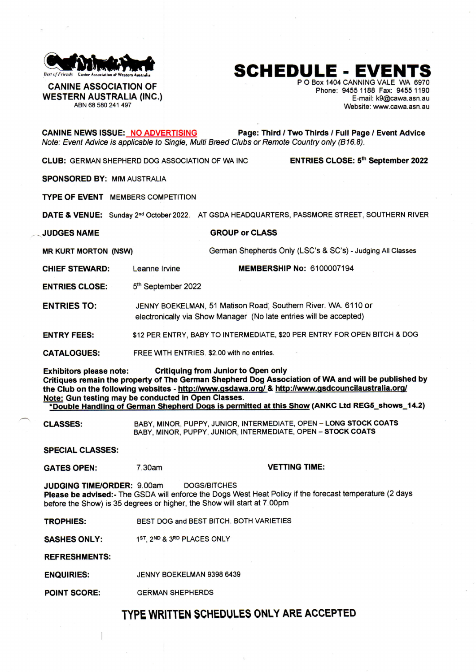

**CANINE ASSOCIATION OF WESTERN AUSTRALIA (INC.)**  ABN 68 580 241 497

## **SCHEDULE - EVENTS**

P O Box 1404 CANNING VALE WA 6970 Phone: 9455 1188 Fax: 9455 1190 E-mail: k9@cawa.asn.au Website: www.cawa.asn.au

**CANINE NEWS ISSUE:** NO ADVERTISING **Page: Third / Two Thirds / Full Page / Event Advice**  *Note: Event Advice is applicable to Single, Multi Breed Clubs or Remote Country only (B16.8).*  **CLUB**: GERMAN SHEPHERD DOG ASSOCIATION OF WA INC **ENTRIES CLOSE: 5<sup>th</sup> September 2022 SPONSORED BY: MfM AUSTRALIA TYPE OF EVENT** MEMBERS COMPETITION **DATE & VENUE:** Sunday 2<sup>nd</sup> October 2022. AT GSDA HEADQUARTERS, PASSMORE STREET, SOUTHERN RIVER **JUDGES NAME GROUP** or CLASS **MR KURT MORTON (NSW)** German Shepherds Only (LSC's & SC's) - Judging All Classes **CHIEF STEWARD:** Leanne Irvine **MEMBERSHIP No:** 6100007194 **ENTRIES CLOSE:**  $5<sup>th</sup>$  September 2022 **ENTRIES TO: ENTRY FEES: CATALOGUES :**  JENNY BOEKELMAN, 51 Matison Road; Southern River. WA. 6110 or electronically via Show Manager (No late entries will be accepted) \$12 PER ENTRY, BABY TO INTERMEDIATE, \$20 PER ENTRY FOR OPEN BITCH & DOG FREE WITH ENTRIES. \$2.00 with no entries. **Exhibitors please note: Critiquing from Junior to Open only Critiques remain the property of The German Shepherd Dog Association of WA and will be published by the Club on the following websites - http://www.qsdawa.orq/ & http://www.qsdcouncilaustralia.orq/ Note: Gun testing may be conducted in Open Classes. \*Double Handlinq of German Shepherd Dogs is permitted at this Sho w (ANK C Ltd REG5\_shows\_14.2 ) CLASSES : SPECIA L CLASSES : GATES OPEN:** BABY, MINOR, PUPPY, JUNIOR, INTERMEDIATE, OPEN - **LONG STOCK COATS**  BABY, MINOR, PUPPY, JUNIOR, INTERMEDIATE, OPEN - **STOCK COATS**  7.30am **VETTING TIME: JUDGING TIME/ORDER: 9.00am DOGS/BITCHES Please be advised:**- The GSDA will enforce the Dogs West Heat Policy if the forecast temperature (2 days before the Show) is 35 degrees or higher, the Show will start at 7.00pm **TROPHIES : SASHES ONLY: REFRESHMENTS : ENQUIRIES: POINT SCORE:** BEST DOG and BEST BITCH. BOTH VARIETIES 1ST, 2ND & 3RD PLACES ONLY JENNY BOEKELMAN 9398 6439 **GERMAN SHEPHERDS TYPEWRITTEN SCHEDULES ONLY ARE ACCEPTED**